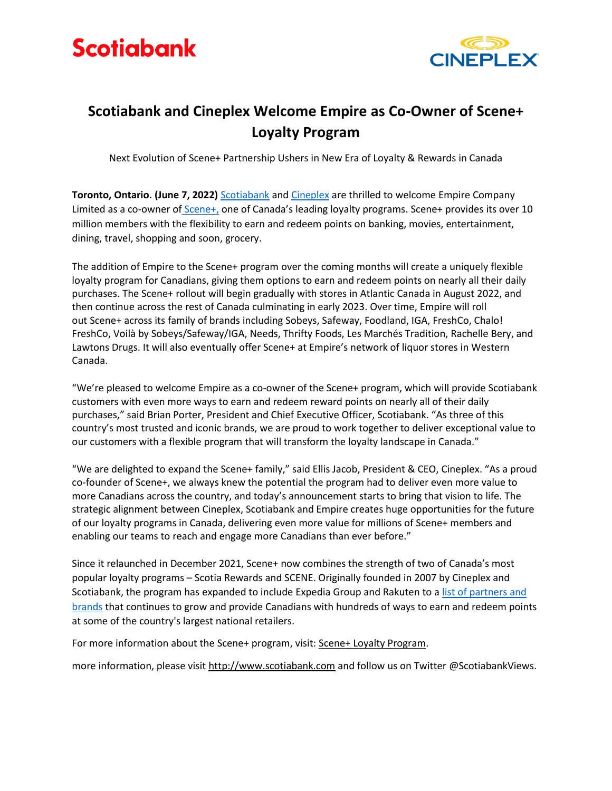



## **Scotiabank and Cineplex Welcome Empire as Co-Owner of Scene+ Loyalty Program**

Next Evolution of Scene+ Partnership Ushers in New Era of Loyalty & Rewards in Canada

**Toronto, Ontario. (June 7, 2022)** [Scotiabank](https://www.scotiabank.com/ca/en/personal.html) an[d Cineplex](https://corp.cineplex.com/) are thrilled to welcome Empire Company Limited as a co-owner of [Scene+,](https://www.sceneplus.ca/) one of Canada's leading loyalty programs. Scene+ provides its over 10 million members with the flexibility to earn and redeem points on banking, movies, entertainment, dining, travel, shopping and soon, grocery.

The addition of Empire to the Scene+ program over the coming months will create a uniquely flexible loyalty program for Canadians, giving them options to earn and redeem points on nearly all their daily purchases. The Scene+ rollout will begin gradually with stores in Atlantic Canada in August 2022, and then continue across the rest of Canada culminating in early 2023. Over time, Empire will roll out Scene+ across its family of brands including Sobeys, Safeway, Foodland, IGA, FreshCo, Chalo! FreshCo, Voilà by Sobeys/Safeway/IGA, Needs, Thrifty Foods, Les Marchés Tradition, Rachelle Bery, and Lawtons Drugs. It will also eventually offer Scene+ at Empire's network of liquor stores in Western Canada.

"We're pleased to welcome Empire as a co-owner of the Scene+ program, which will provide Scotiabank customers with even more ways to earn and redeem reward points on nearly all of their daily purchases," said Brian Porter, President and Chief Executive Officer, Scotiabank. "As three of this country's most trusted and iconic brands, we are proud to work together to deliver exceptional value to our customers with a flexible program that will transform the loyalty landscape in Canada."

"We are delighted to expand the Scene+ family," said Ellis Jacob, President & CEO, Cineplex. "As a proud co-founder of Scene+, we always knew the potential the program had to deliver even more value to more Canadians across the country, and today's announcement starts to bring that vision to life. The strategic alignment between Cineplex, Scotiabank and Empire creates huge opportunities for the future of our loyalty programs in Canada, delivering even more value for millions of Scene+ members and enabling our teams to reach and engage more Canadians than ever before."

Since it relaunched in December 2021, Scene+ now combines the strength of two of Canada's most popular loyalty programs – Scotia Rewards and SCENE. Originally founded in 2007 by Cineplex and Scotiabank, the program has expanded to include Expedia Group and Rakuten to a [list of partners and](https://www.sceneplus.ca/how-it-works#StellarPartnersSection)  [brands](https://www.sceneplus.ca/how-it-works#StellarPartnersSection) that continues to grow and provide Canadians with hundreds of ways to earn and redeem points at some of the country's largest national retailers.

For more information about the Scene+ program, visit: [Scene+ Loyalty Program.](https://www.sceneplus.ca/)

more information, please visit [http://www.scotiabank.com](http://www.scotiabank.com/) and follow us on Twitter @ScotiabankViews.